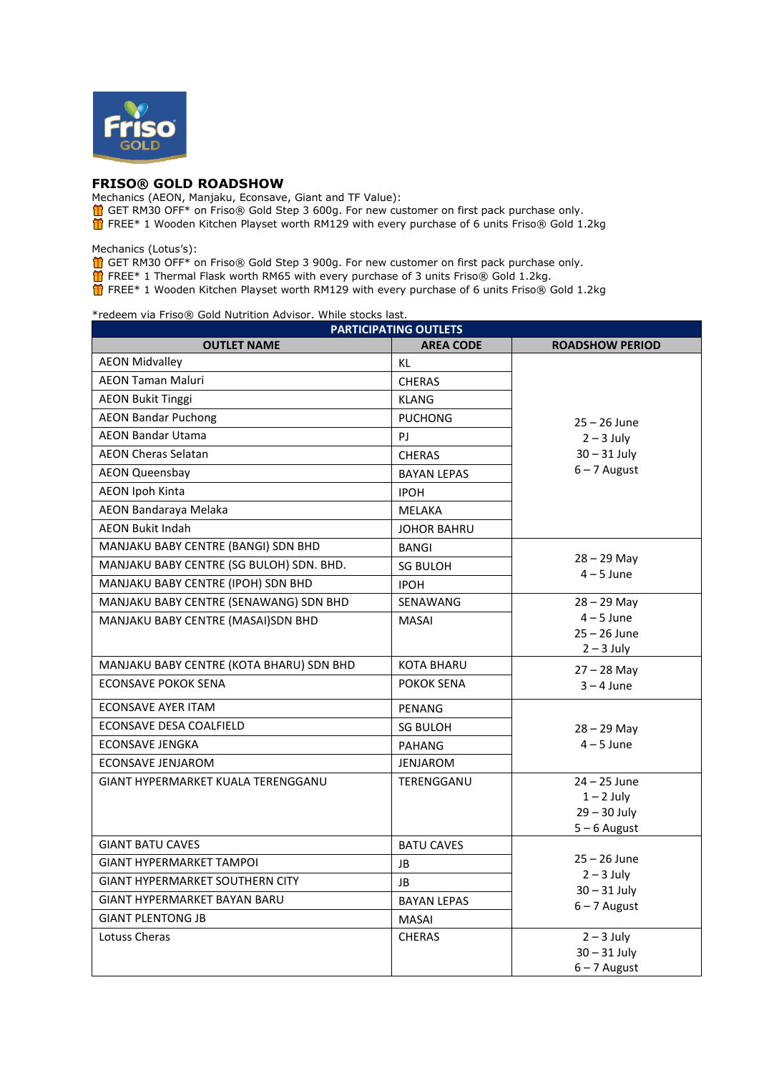

## **FRISO® GOLD ROADSHOW**

Mechanics (AEON, Manjaku, Econsave, Giant and TF Value):

- GET RM30 OFF\* on Friso® Gold Step 3 600g. For new customer on first pack purchase only.
- FREE\* 1 Wooden Kitchen Playset worth RM129 with every purchase of 6 units Friso® Gold 1.2kg

Mechanics (Lotus's):

- $\bigoplus$  GET RM30 OFF\* on Friso® Gold Step 3 900g. For new customer on first pack purchase only.
- FREE\* 1 Thermal Flask worth RM65 with every purchase of 3 units Friso® Gold 1.2kg.

FREE\* 1 Wooden Kitchen Playset worth RM129 with every purchase of 6 units Friso® Gold 1.2kg

\*redeem via Friso® Gold Nutrition Advisor. While stocks last.

| <b>PARTICIPATING OUTLETS</b>              |                    |                                                                    |  |
|-------------------------------------------|--------------------|--------------------------------------------------------------------|--|
| <b>OUTLET NAME</b>                        | <b>AREA CODE</b>   | <b>ROADSHOW PERIOD</b>                                             |  |
| <b>AEON Midvalley</b>                     | KL.                | $25 - 26$ June                                                     |  |
| <b>AEON Taman Maluri</b>                  | <b>CHERAS</b>      |                                                                    |  |
| <b>AEON Bukit Tinggi</b>                  | <b>KLANG</b>       |                                                                    |  |
| <b>AEON Bandar Puchong</b>                | <b>PUCHONG</b>     |                                                                    |  |
| <b>AEON Bandar Utama</b>                  | PJ                 | $2 - 3$ July                                                       |  |
| <b>AEON Cheras Selatan</b>                | <b>CHERAS</b>      | $30 - 31$ July                                                     |  |
| <b>AEON Queensbay</b>                     | <b>BAYAN LEPAS</b> | $6 - 7$ August                                                     |  |
| <b>AEON Ipoh Kinta</b>                    | <b>IPOH</b>        |                                                                    |  |
| AEON Bandaraya Melaka                     | <b>MELAKA</b>      |                                                                    |  |
| <b>AEON Bukit Indah</b>                   | <b>JOHOR BAHRU</b> |                                                                    |  |
| MANJAKU BABY CENTRE (BANGI) SDN BHD       | <b>BANGI</b>       | $28 - 29$ May<br>$4 - 5$ June                                      |  |
| MANJAKU BABY CENTRE (SG BULOH) SDN. BHD.  | <b>SG BULOH</b>    |                                                                    |  |
| MANJAKU BABY CENTRE (IPOH) SDN BHD        | <b>IPOH</b>        |                                                                    |  |
| MANJAKU BABY CENTRE (SENAWANG) SDN BHD    | SENAWANG           | $28 - 29$ May                                                      |  |
| MANJAKU BABY CENTRE (MASAI)SDN BHD        | <b>MASAI</b>       | $4 - 5$ June                                                       |  |
|                                           |                    | $25 - 26$ June<br>$2 - 3$ July                                     |  |
| MANJAKU BABY CENTRE (KOTA BHARU) SDN BHD  | <b>KOTA BHARU</b>  |                                                                    |  |
| <b>ECONSAVE POKOK SENA</b>                | POKOK SENA         | $27 - 28$ May<br>$3 - 4$ June                                      |  |
| <b>ECONSAVE AYER ITAM</b>                 |                    |                                                                    |  |
| ECONSAVE DESA COALFIELD                   | <b>PENANG</b>      | $28 - 29$ May<br>$4 - 5$ June                                      |  |
| <b>ECONSAVE JENGKA</b>                    | <b>SG BULOH</b>    |                                                                    |  |
|                                           | <b>PAHANG</b>      |                                                                    |  |
| <b>ECONSAVE JENJAROM</b>                  | <b>JENJAROM</b>    |                                                                    |  |
| <b>GIANT HYPERMARKET KUALA TERENGGANU</b> | TERENGGANU         | $24 - 25$ June<br>$1 - 2$ July                                     |  |
|                                           |                    | $29 - 30$ July                                                     |  |
|                                           |                    | $5 - 6$ August                                                     |  |
| <b>GIANT BATU CAVES</b>                   | <b>BATU CAVES</b>  | $25 - 26$ June<br>$2 - 3$ July<br>$30 - 31$ July<br>$6 - 7$ August |  |
| <b>GIANT HYPERMARKET TAMPOL</b>           | JB                 |                                                                    |  |
| <b>GIANT HYPERMARKET SOUTHERN CITY</b>    | JB                 |                                                                    |  |
| <b>GIANT HYPERMARKET BAYAN BARU</b>       | <b>BAYAN LEPAS</b> |                                                                    |  |
| <b>GIANT PLENTONG JB</b>                  | <b>MASAI</b>       |                                                                    |  |
| Lotuss Cheras                             | <b>CHERAS</b>      | $2 - 3$ July                                                       |  |
|                                           |                    | $30 - 31$ July                                                     |  |
|                                           |                    | $6 - 7$ August                                                     |  |